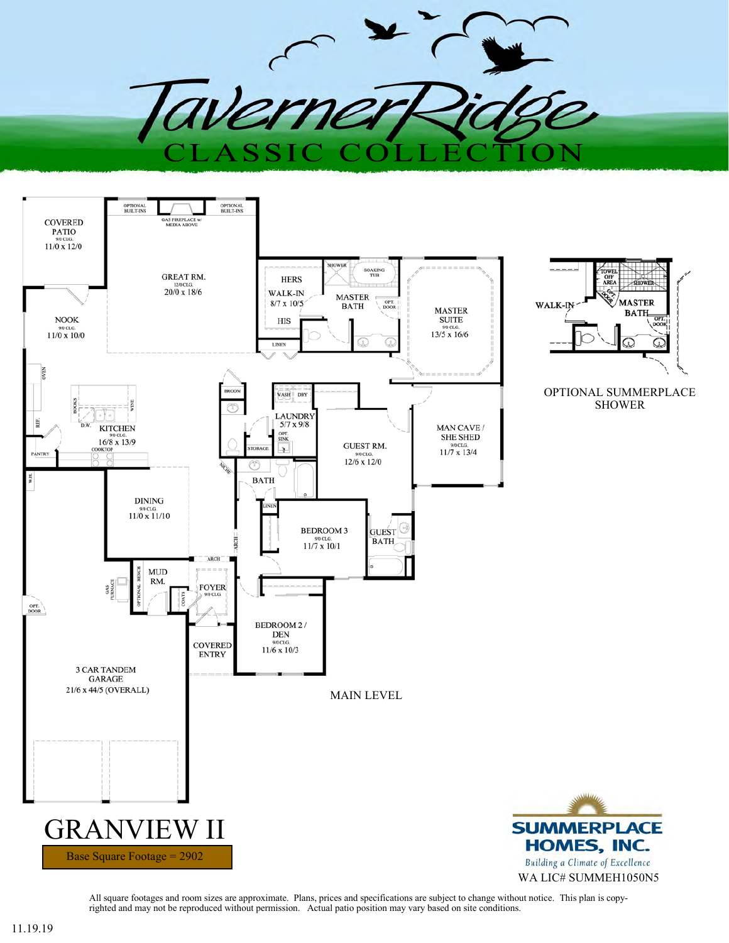



All square footages and room sizes are approximate. Plans, prices and specifications are subject to change without notice. This plan is copyrighted and may not be reproduced without permission. Actual patio position may vary based on site conditions.